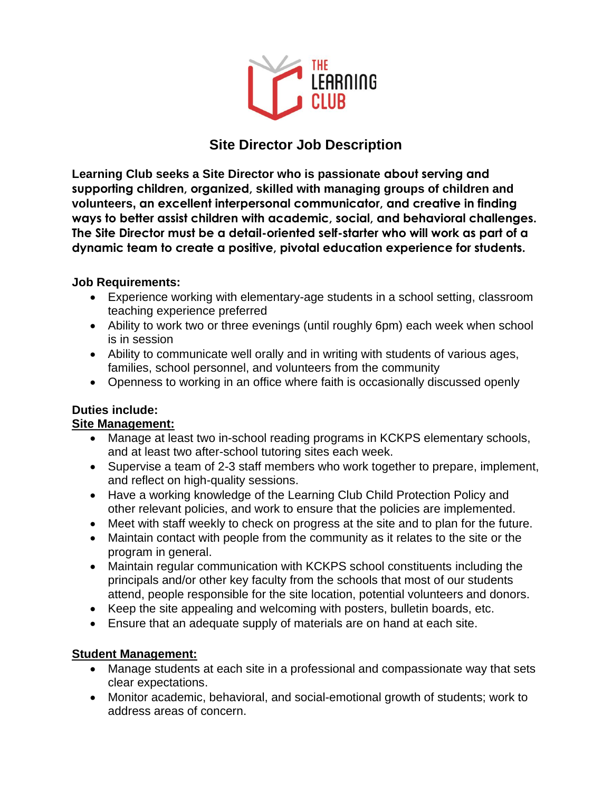

# **Site Director Job Description**

**Learning Club seeks a Site Director who is passionate about serving and supporting children, organized, skilled with managing groups of children and volunteers, an excellent interpersonal communicator, and creative in finding ways to better assist children with academic, social, and behavioral challenges. The Site Director must be a detail-oriented self-starter who will work as part of a dynamic team to create a positive, pivotal education experience for students.** 

### **Job Requirements:**

- Experience working with elementary-age students in a school setting, classroom teaching experience preferred
- Ability to work two or three evenings (until roughly 6pm) each week when school is in session
- Ability to communicate well orally and in writing with students of various ages, families, school personnel, and volunteers from the community
- Openness to working in an office where faith is occasionally discussed openly

# **Duties include:**

## **Site Management:**

- Manage at least two in-school reading programs in KCKPS elementary schools, and at least two after-school tutoring sites each week.
- Supervise a team of 2-3 staff members who work together to prepare, implement, and reflect on high-quality sessions.
- Have a working knowledge of the Learning Club Child Protection Policy and other relevant policies, and work to ensure that the policies are implemented.
- Meet with staff weekly to check on progress at the site and to plan for the future.
- Maintain contact with people from the community as it relates to the site or the program in general.
- Maintain regular communication with KCKPS school constituents including the principals and/or other key faculty from the schools that most of our students attend, people responsible for the site location, potential volunteers and donors.
- Keep the site appealing and welcoming with posters, bulletin boards, etc.
- Ensure that an adequate supply of materials are on hand at each site.

### **Student Management:**

- Manage students at each site in a professional and compassionate way that sets clear expectations.
- Monitor academic, behavioral, and social-emotional growth of students; work to address areas of concern.